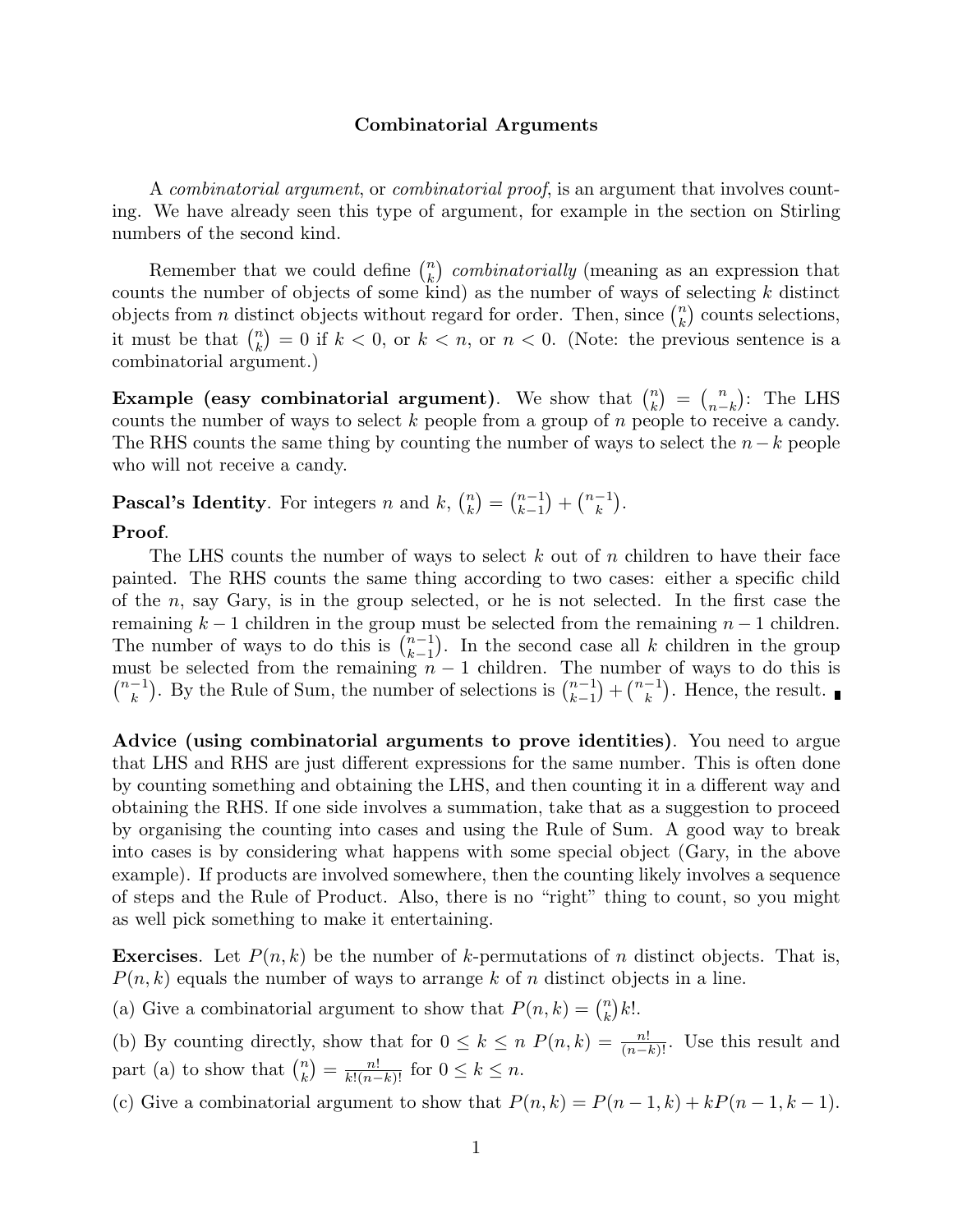# **Combinatorial Arguments**

A combinatorial argument, or combinatorial proof, is an argument that involves counting. We have already seen this type of argument, for example in the section on Stirling numbers of the second kind.

Remember that we could define  $\binom{n}{k}$  $\binom{n}{k}$  combinatorially (meaning as an expression that counts the number of objects of some kind) as the number of ways of selecting *k* distinct objects from *n* distinct objects without regard for order. Then, since  $\binom{n}{k}$  $\binom{n}{k}$  counts selections, it must be that  $\binom{n}{k}$  $\binom{n}{k} = 0$  if  $k < 0$ , or  $k < n$ , or  $n < 0$ . (Note: the previous sentence is a combinatorial argument.)

**Example (easy combinatorial argument)**. We show that  $\binom{n}{k}$  $\binom{n}{k} = \binom{n}{n-1}$  $\binom{n}{n-k}$ : The LHS counts the number of ways to select *k* people from a group of *n* people to receive a candy. The RHS counts the same thing by counting the number of ways to select the *n*−*k* people who will not receive a candy.

**Pascal's Identity**. For integers *n* and *k*,  $\binom{n}{k}$  $\binom{n}{k} = \binom{n-1}{k-1}$  $\binom{n-1}{k+1} + \binom{n-1}{k}$ .

# **Proof**.

The LHS counts the number of ways to select *k* out of *n* children to have their face painted. The RHS counts the same thing according to two cases: either a specific child of the *n*, say Gary, is in the group selected, or he is not selected. In the first case the remaining  $k-1$  children in the group must be selected from the remaining  $n-1$  children. The number of ways to do this is  $\binom{n-1}{k-1}$ . In the second case all *k* children in the group The number of ways to do this is  $(k-1)$ . In the second case an  $k$  emidien in the group<br>must be selected from the remaining  $n-1$  children. The number of ways to do this is  $\binom{n-1}{k}$ . By the Rule of Sum, the number of selections is  $\binom{n-1}{k-1}$  ${n-1 \choose k}$  +  ${n-1 \choose k}$ . Hence, the result.

**Advice (using combinatorial arguments to prove identities)**. You need to argue that LHS and RHS are just different expressions for the same number. This is often done by counting something and obtaining the LHS, and then counting it in a different way and obtaining the RHS. If one side involves a summation, take that as a suggestion to proceed by organising the counting into cases and using the Rule of Sum. A good way to break into cases is by considering what happens with some special object (Gary, in the above example). If products are involved somewhere, then the counting likely involves a sequence of steps and the Rule of Product. Also, there is no "right" thing to count, so you might as well pick something to make it entertaining.

**Exercises**. Let  $P(n, k)$  be the number of *k*-permutations of *n* distinct objects. That is, *P*(*n, k*) equals the number of ways to arrange *k* of *n* distinct objects in a line.

(a) Give a combinatorial argument to show that  $P(n, k) = \binom{n}{k}$  $\binom{n}{k}k!$ .

(b) By counting directly, show that for  $0 \le k \le n$   $P(n, k) = \frac{n!}{(n-k)!}$ . Use this result and part (a) to show that  $\binom{n}{k}$  $\binom{n}{k} = \frac{n!}{k!(n-k)!}$  for  $0 \le k \le n$ .

(c) Give a combinatorial argument to show that  $P(n, k) = P(n-1, k) + kP(n-1, k-1)$ .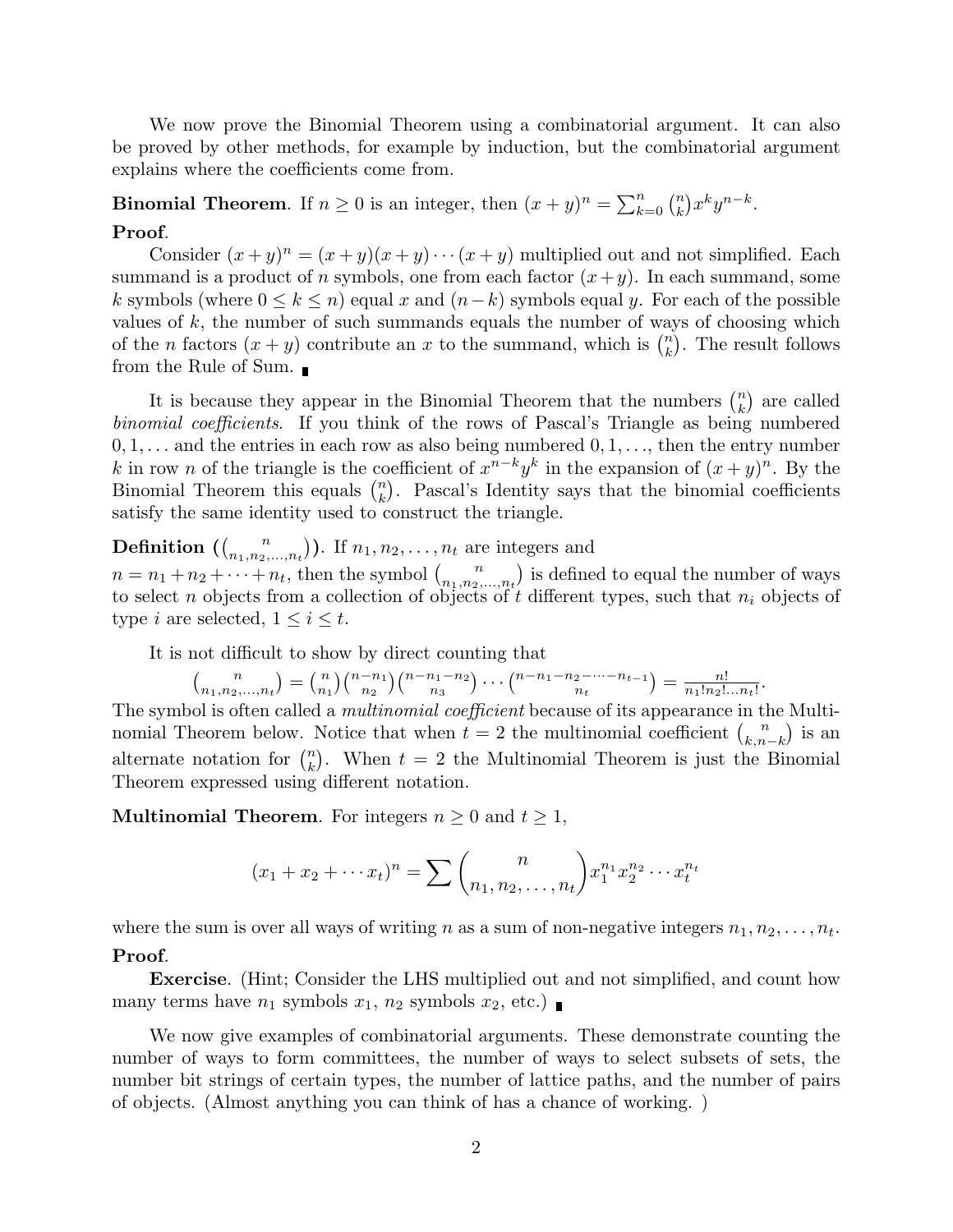We now prove the Binomial Theorem using a combinatorial argument. It can also be proved by other methods, for example by induction, but the combinatorial argument explains where the coefficients come from.

**Binomial Theorem.** If  $n \geq 0$  is an integer, then  $(x + y)^n = \sum_{k=0}^n {n \choose k}$  $\binom{n}{k} x^k y^{n-k}.$ **Proof**.

Consider  $(x+y)^n = (x+y)(x+y)\cdots(x+y)$  multiplied out and not simplified. Each summand is a product of *n* symbols, one from each factor  $(x + y)$ . In each summand, some *k* symbols (where  $0 \leq k \leq n$ ) equal *x* and  $(n-k)$  symbols equal *y*. For each of the possible values of *k*, the number of such summands equals the number of ways of choosing which of the *n* factors  $(x + y)$  contribute an *x* to the summand, which is  $\binom{n}{k}$  $\binom{n}{k}$ . The result follows from the Rule of Sum.

It is because they appear in the Binomial Theorem that the numbers  $\binom{n}{k}$  $\binom{n}{k}$  are called binomial coefficients. If you think of the rows of Pascal's Triangle as being numbered 0*,* 1*,...* and the entries in each row as also being numbered 0*,* 1*,...*, then the entry number *k* in row *n* of the triangle is the coefficient of  $x^{n-k}y^k$  in the expansion of  $(x + y)^n$ . By the Binomial Theorem this equals  $\binom{n}{k}$  $\binom{n}{k}$ . Pascal's Identity says that the binomial coefficients satisfy the same identity used to construct the triangle.

**Definition**  $\left(\begin{smallmatrix} n & n \\ n_1 & n_2 \end{smallmatrix}\right)$  $\binom{n}{n_1, n_2, \ldots, n_t}$ ). If  $n_1, n_2, \ldots, n_t$  are integers and  $n = n_1 + n_2 + \cdots + n_t$ , then the symbol  $\binom{n}{n_1, n_2}$  $\binom{n}{n_1, n_2, \ldots, n_t}$  is defined to equal the number of ways to select *n* objects from a collection of objects of *t* different types, such that *n<sup>i</sup>* objects of type *i* are selected,  $1 \leq i \leq t$ .

It is not difficult to show by direct counting that

$$
{n \choose n_1, n_2, ..., n_t} = {n \choose n_1} {n - n_1 \choose n_2} {n - n_1 - n_2 \choose n_3} \cdots {n - n_1 - n_2 - \cdots - n_{t-1} \choose n_t} = \frac{n!}{n_1! n_2! \ldots n_t!}.
$$

The symbol is often called a *multinomial coefficient* because of its appearance in the Multinomial Theorem below. Notice that when  $t = 2$  the multinomial coefficient  $\binom{n}{k}$  $\binom{n}{k,n-k}$  is an alternate notation for  $\binom{n}{k}$  $\binom{n}{k}$ . When  $t = 2$  the Multinomial Theorem is just the Binomial Theorem expressed using different notation.

**Multinomial Theorem.** For integers  $n \geq 0$  and  $t \geq 1$ ,

$$
(x_1 + x_2 + \dots + x_t)^n = \sum {n \choose n_1, n_2, \dots, n_t} x_1^{n_1} x_2^{n_2} \dots x_t^{n_t}
$$

where the sum is over all ways of writing *n* as a sum of non-negative integers  $n_1, n_2, \ldots, n_t$ .

### **Proof**.

**Exercise**. (Hint; Consider the LHS multiplied out and not simplified, and count how many terms have  $n_1$  symbols  $x_1$ ,  $n_2$  symbols  $x_2$ , etc.)

We now give examples of combinatorial arguments. These demonstrate counting the number of ways to form committees, the number of ways to select subsets of sets, the number bit strings of certain types, the number of lattice paths, and the number of pairs of objects. (Almost anything you can think of has a chance of working. )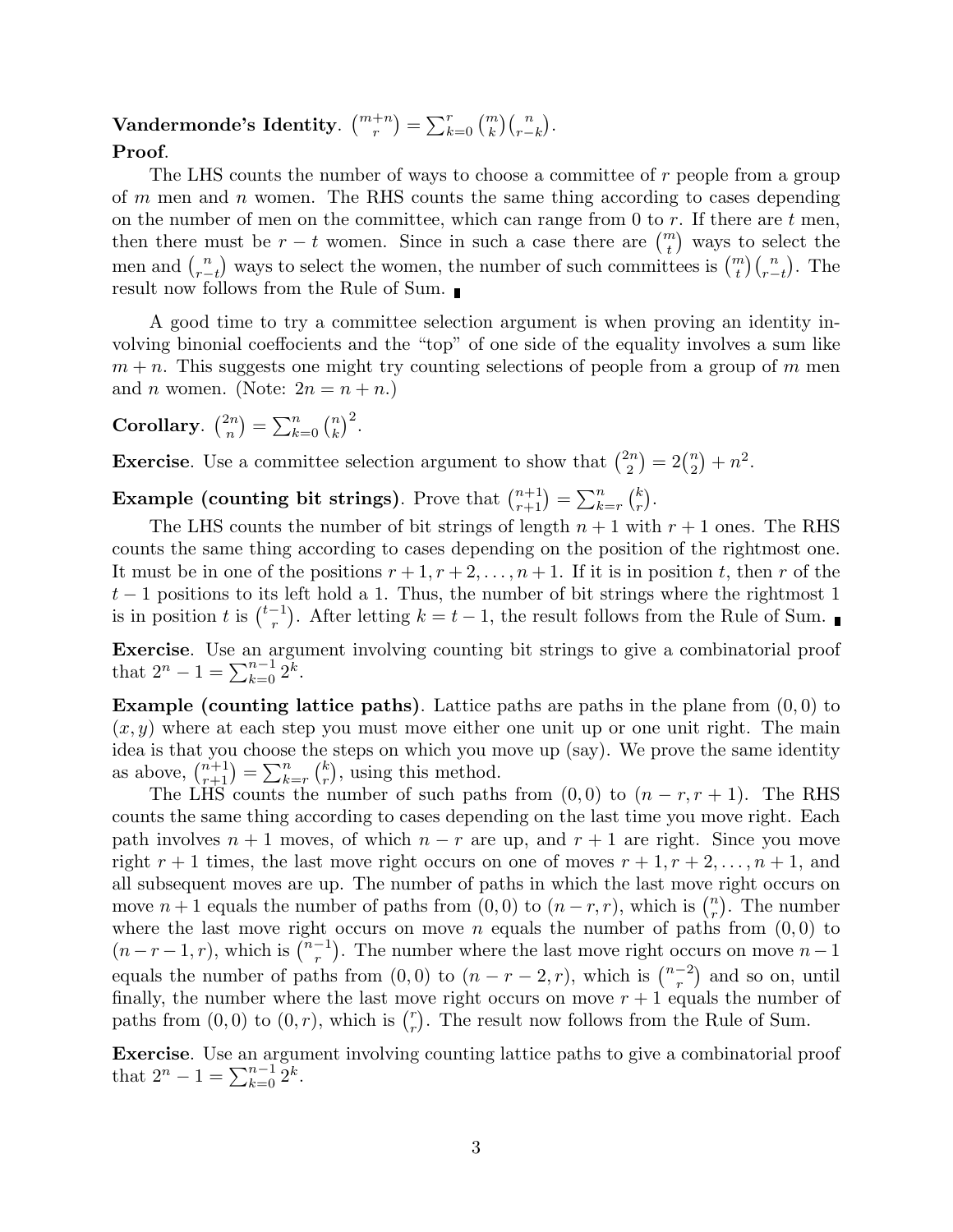#### $\mathbf{V}$ andermonde's Identity.  $\binom{m+n}{r}$  $\binom{m}{r} = \sum_{k=0}^{r} \binom{m}{k}$  $\binom{n}{k}\binom{n}{r-1}$  $\binom{n}{r-k}$ .

# **Proof**.

The LHS counts the number of ways to choose a committee of *r* people from a group of *m* men and *n* women. The RHS counts the same thing according to cases depending on the number of men on the committee, which can range from 0 to *r*. If there are *t* men, then there must be  $r - t$  women. Since in such a case there are  $\binom{m}{t}$  $\binom{n}{t}$  ways to select the men and  $\binom{n}{r}$  $\binom{n}{r-t}$  ways to select the women, the number of such committees is  $\binom{m}{t}$  $\binom{n}{t}\binom{n}{r-1}$  $\binom{n}{r-t}$ . The result now follows from the Rule of Sum.

A good time to try a committee selection argument is when proving an identity involving binonial coeffocients and the "top" of one side of the equality involves a sum like  $m + n$ . This suggests one might try counting selections of people from a group of  $m$  men and *n* women. (Note:  $2n = n + n$ .)

**Corollary.**  $\binom{2n}{n}$  $\binom{2n}{n}$  =  $\sum_{k=0}^{n}$   $\binom{n}{k}$  $\binom{n}{k}^2$ .

**Exercise**. Use a committee selection argument to show that  $\binom{2n}{2}$  $2^{2n}{2}$  =  $2\binom{n}{2}$  $n_2^n$  +  $n^2$ .

**Example (counting bit strings)**. Prove that  $\binom{n+1}{r+1} = \sum_{k=r}^{n} \binom{k}{r}$  $\binom{k}{r}$ .

The LHS counts the number of bit strings of length  $n + 1$  with  $r + 1$  ones. The RHS counts the same thing according to cases depending on the position of the rightmost one. It must be in one of the positions  $r + 1, r + 2, \ldots, n + 1$ . If it is in position *t*, then *r* of the  $t-1$  positions to its left hold a 1. Thus, the number of bit strings where the rightmost 1 is in position *t* is  $\binom{t-1}{r}$ . After letting  $k = t - 1$ , the result follows from the Rule of Sum.

**Exercise**. Use an argument involving counting bit strings to give a combinatorial proof that  $2^n - 1 = \sum_{k=0}^{n-1} 2^k$ .

**Example (counting lattice paths)**. Lattice paths are paths in the plane from (0*,* 0) to  $(x, y)$  where at each step you must move either one unit up or one unit right. The main idea is that you choose the steps on which you move up (say). We prove the same identity as above,  $\binom{n+1}{r+1} = \sum_{k=r}^{n} \binom{k}{r}$  $\binom{k}{r}$ , using this method.

The LHS counts the number of such paths from  $(0,0)$  to  $(n-r, r+1)$ . The RHS counts the same thing according to cases depending on the last time you move right. Each path involves  $n + 1$  moves, of which  $n - r$  are up, and  $r + 1$  are right. Since you move right  $r + 1$  times, the last move right occurs on one of moves  $r + 1, r + 2, \ldots, n + 1$ , and all subsequent moves are up. The number of paths in which the last move right occurs on move  $n+1$  equals the number of paths from  $(0,0)$  to  $(n-r,r)$ , which is  $\binom{n}{r}$ . The number where the last move right occurs on move *n* equals the number of paths from  $(0,0)$  to  $(n - r - 1, r)$ , which is  $\binom{n-1}{r}$ . The number where the last move right occurs on move  $n - 1$ equals the number of paths from  $(0,0)$  to  $(n - r - 2, r)$ , which is  $\binom{n-2}{r}$  and so on, until finally, the number where the last move right occurs on move  $r + 1$  equals the number of paths from  $(0,0)$  to  $(0,r)$ , which is  $\binom{r}{r}$  $r(r)$ . The result now follows from the Rule of Sum.

**Exercise**. Use an argument involving counting lattice paths to give a combinatorial proof that  $2^n - 1 = \sum_{k=0}^{n-1} 2^k$ .